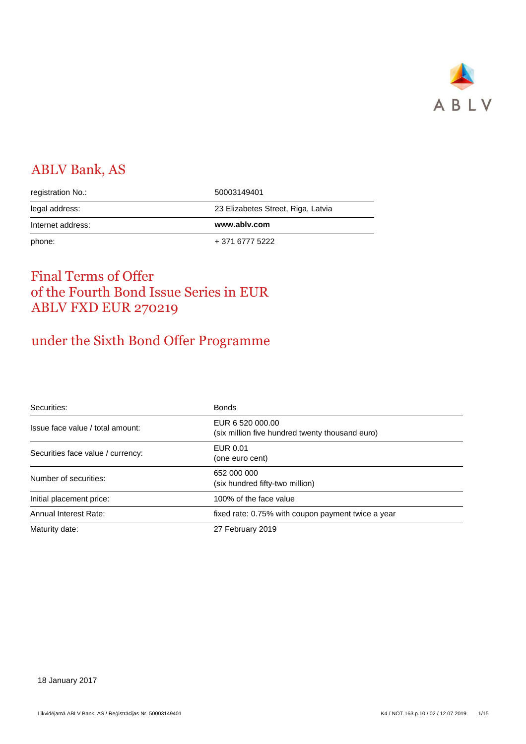

## ABLV Bank, AS

| registration No.: | 50003149401                        |
|-------------------|------------------------------------|
| legal address:    | 23 Elizabetes Street, Riga, Latvia |
|                   |                                    |
| Internet address: | www.ablv.com                       |

## Final Terms of Offer of the Fourth Bond Issue Series in EUR ABLV FXD EUR 270219

# under the Sixth Bond Offer Programme

| Securities:                       | <b>Bonds</b>                                                        |
|-----------------------------------|---------------------------------------------------------------------|
| Issue face value / total amount:  | EUR 6 520 000.00<br>(six million five hundred twenty thousand euro) |
| Securities face value / currency: | EUR 0.01<br>(one euro cent)                                         |
| Number of securities:             | 652 000 000<br>(six hundred fifty-two million)                      |
| Initial placement price:          | 100% of the face value                                              |
| Annual Interest Rate:             | fixed rate: 0.75% with coupon payment twice a year                  |
| Maturity date:                    | 27 February 2019                                                    |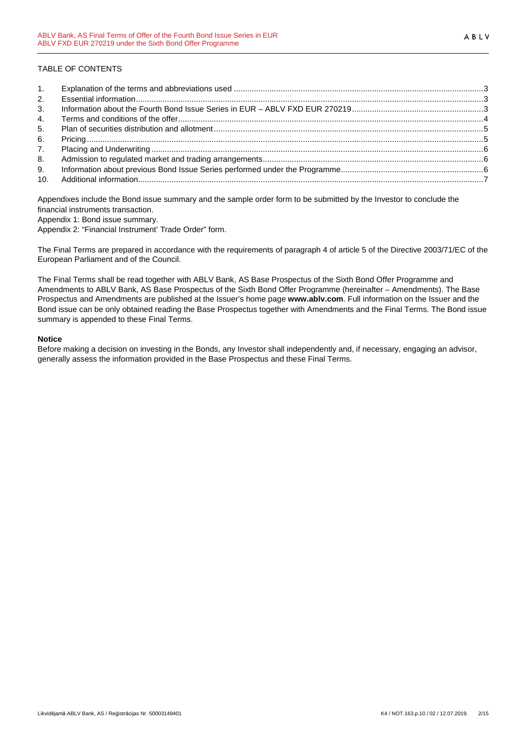## TABLE OF CONTENTS

| 1.             |  |
|----------------|--|
| 2.             |  |
| 3 <sub>1</sub> |  |
| 4.             |  |
| 5.             |  |
| 6.             |  |
| 7.             |  |
| 8.             |  |
| 9.             |  |
|                |  |

Appendixes include the Bond issue summary and the sample order form to be submitted by the Investor to conclude the financial instruments transaction.

Appendix 1: Bond issue summary.

Appendix 2: "Financial Instrument' Trade Order" form.

The Final Terms are prepared in accordance with the requirements of paragraph 4 of article 5 of the Directive 2003/71/EC of the European Parliament and of the Council.

The Final Terms shall be read together with ABLV Bank, AS Base Prospectus of the Sixth Bond Offer Programme and Amendments to ABLV Bank, AS Base Prospectus of the Sixth Bond Offer Programme (hereinafter – Amendments). The Base Prospectus and Amendments are published at the Issuer's home page **www.ablv.com**. Full information on the Issuer and the Bond issue can be only obtained reading the Base Prospectus together with Amendments and the Final Terms. The Bond issue summary is appended to these Final Terms.

#### **Notice**

Before making a decision on investing in the Bonds, any Investor shall independently and, if necessary, engaging an advisor, generally assess the information provided in the Base Prospectus and these Final Terms.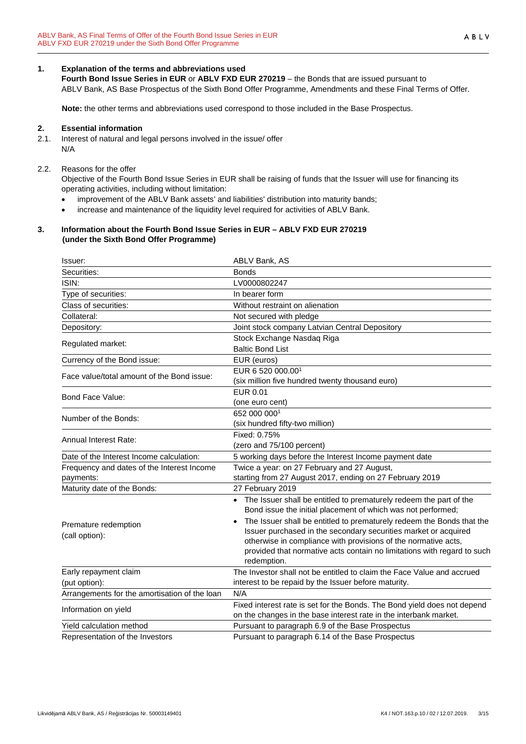## **1. Explanation of the terms and abbreviations used**

**Fourth Bond Issue Series in EUR** or **ABLV FXD EUR 270219** – the Bonds that are issued pursuant to ABLV Bank, AS Base Prospectus of the Sixth Bond Offer Programme, Amendments and these Final Terms of Offer.

**Note:** the other terms and abbreviations used correspond to those included in the Base Prospectus.

#### **2. Essential information**

2.1. Interest of natural and legal persons involved in the issue/ offer N/A

### 2.2. Reasons for the offer

Objective of the Fourth Bond Issue Series in EUR shall be raising of funds that the Issuer will use for financing its operating activities, including without limitation:

- improvement of the ABLV Bank assets' and liabilities' distribution into maturity bands;
- increase and maintenance of the liquidity level required for activities of ABLV Bank.

#### **3. Information about the Fourth Bond Issue Series in EUR – ABLV FXD EUR 270219 (under the Sixth Bond Offer Programme)**

| Issuer:                                                 | ABLV Bank, AS                                                                                                                                                                                                                                                                                                                                                                                                                                             |
|---------------------------------------------------------|-----------------------------------------------------------------------------------------------------------------------------------------------------------------------------------------------------------------------------------------------------------------------------------------------------------------------------------------------------------------------------------------------------------------------------------------------------------|
| Securities:                                             | <b>Bonds</b>                                                                                                                                                                                                                                                                                                                                                                                                                                              |
| ISIN:                                                   | LV0000802247                                                                                                                                                                                                                                                                                                                                                                                                                                              |
| Type of securities:                                     | In bearer form                                                                                                                                                                                                                                                                                                                                                                                                                                            |
| Class of securities:                                    | Without restraint on alienation                                                                                                                                                                                                                                                                                                                                                                                                                           |
| Collateral:                                             | Not secured with pledge                                                                                                                                                                                                                                                                                                                                                                                                                                   |
| Depository:                                             | Joint stock company Latvian Central Depository                                                                                                                                                                                                                                                                                                                                                                                                            |
| Regulated market:                                       | Stock Exchange Nasdaq Riga<br><b>Baltic Bond List</b>                                                                                                                                                                                                                                                                                                                                                                                                     |
| Currency of the Bond issue:                             | EUR (euros)                                                                                                                                                                                                                                                                                                                                                                                                                                               |
| Face value/total amount of the Bond issue:              | EUR 6 520 000.00 <sup>1</sup><br>(six million five hundred twenty thousand euro)                                                                                                                                                                                                                                                                                                                                                                          |
| <b>Bond Face Value:</b>                                 | EUR 0.01<br>(one euro cent)                                                                                                                                                                                                                                                                                                                                                                                                                               |
| Number of the Bonds:                                    | 652 000 0001<br>(six hundred fifty-two million)                                                                                                                                                                                                                                                                                                                                                                                                           |
| <b>Annual Interest Rate:</b>                            | Fixed: 0.75%<br>(zero and 75/100 percent)                                                                                                                                                                                                                                                                                                                                                                                                                 |
| Date of the Interest Income calculation:                | 5 working days before the Interest Income payment date                                                                                                                                                                                                                                                                                                                                                                                                    |
| Frequency and dates of the Interest Income<br>payments: | Twice a year: on 27 February and 27 August,<br>starting from 27 August 2017, ending on 27 February 2019                                                                                                                                                                                                                                                                                                                                                   |
| Maturity date of the Bonds:                             | 27 February 2019                                                                                                                                                                                                                                                                                                                                                                                                                                          |
| Premature redemption<br>(call option):                  | • The Issuer shall be entitled to prematurely redeem the part of the<br>Bond issue the initial placement of which was not performed;<br>The Issuer shall be entitled to prematurely redeem the Bonds that the<br>$\bullet$<br>Issuer purchased in the secondary securities market or acquired<br>otherwise in compliance with provisions of the normative acts,<br>provided that normative acts contain no limitations with regard to such<br>redemption. |
| Early repayment claim                                   | The Investor shall not be entitled to claim the Face Value and accrued                                                                                                                                                                                                                                                                                                                                                                                    |
| (put option):                                           | interest to be repaid by the Issuer before maturity.                                                                                                                                                                                                                                                                                                                                                                                                      |
| Arrangements for the amortisation of the loan           | N/A                                                                                                                                                                                                                                                                                                                                                                                                                                                       |
| Information on yield                                    | Fixed interest rate is set for the Bonds. The Bond yield does not depend<br>on the changes in the base interest rate in the interbank market.                                                                                                                                                                                                                                                                                                             |
| Yield calculation method                                | Pursuant to paragraph 6.9 of the Base Prospectus                                                                                                                                                                                                                                                                                                                                                                                                          |
| Representation of the Investors                         | Pursuant to paragraph 6.14 of the Base Prospectus                                                                                                                                                                                                                                                                                                                                                                                                         |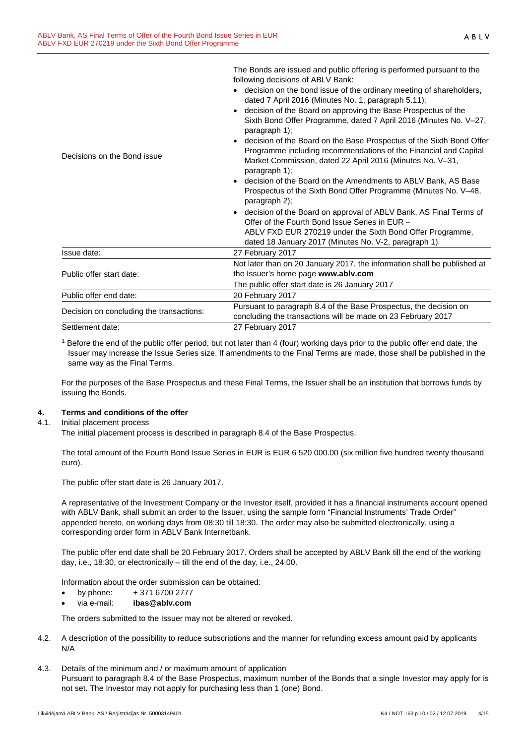The Bonds are issued and public offering is performed pursuant to the

|                                              | decision on the bond issue of the ordinary meeting of shareholders,<br>dated 7 April 2016 (Minutes No. 1, paragraph 5.11);<br>decision of the Board on approving the Base Prospectus of the           |
|----------------------------------------------|-------------------------------------------------------------------------------------------------------------------------------------------------------------------------------------------------------|
|                                              |                                                                                                                                                                                                       |
| paragraph 1);                                | Sixth Bond Offer Programme, dated 7 April 2016 (Minutes No. V-27,                                                                                                                                     |
| Decisions on the Bond issue<br>paragraph 1); | decision of the Board on the Base Prospectus of the Sixth Bond Offer<br>Programme including recommendations of the Financial and Capital<br>Market Commission, dated 22 April 2016 (Minutes No. V-31, |
| paragraph 2);                                | decision of the Board on the Amendments to ABLV Bank, AS Base<br>Prospectus of the Sixth Bond Offer Programme (Minutes No. V-48,                                                                      |
|                                              | decision of the Board on approval of ABLV Bank, AS Final Terms of<br>Offer of the Fourth Bond Issue Series in EUR -                                                                                   |
|                                              | ABLV FXD EUR 270219 under the Sixth Bond Offer Programme,<br>dated 18 January 2017 (Minutes No. V-2, paragraph 1).                                                                                    |
| Issue date:<br>27 February 2017              |                                                                                                                                                                                                       |
| Public offer start date:                     | Not later than on 20 January 2017, the information shall be published at<br>the Issuer's home page www.ablv.com                                                                                       |
|                                              | The public offer start date is 26 January 2017                                                                                                                                                        |
|                                              |                                                                                                                                                                                                       |
| Public offer end date:<br>20 February 2017   |                                                                                                                                                                                                       |
| Decision on concluding the transactions:     | Pursuant to paragraph 8.4 of the Base Prospectus, the decision on<br>concluding the transactions will be made on 23 February 2017                                                                     |

<sup>1</sup> Before the end of the public offer period, but not later than 4 (four) working days prior to the public offer end date, the Issuer may increase the Issue Series size. If amendments to the Final Terms are made, those shall be published in the same way as the Final Terms.

For the purposes of the Base Prospectus and these Final Terms, the Issuer shall be an institution that borrows funds by issuing the Bonds.

#### **4. Terms and conditions of the offer**

#### 4.1. Initial placement process

The initial placement process is described in paragraph 8.4 of the Base Prospectus.

The total amount of the Fourth Bond Issue Series in EUR is EUR 6 520 000.00 (six million five hundred twenty thousand euro).

The public offer start date is 26 January 2017.

A representative of the Investment Company or the Investor itself, provided it has a financial instruments account opened with ABLV Bank, shall submit an order to the Issuer, using the sample form "Financial Instruments' Trade Order" appended hereto, on working days from 08:30 till 18:30. The order may also be submitted electronically, using a corresponding order form in ABLV Bank Internetbank.

The public offer end date shall be 20 February 2017. Orders shall be accepted by ABLV Bank till the end of the working day, i.e., 18:30, or electronically – till the end of the day, i.e., 24:00.

Information about the order submission can be obtained:

- by phone:  $+371\,6700\,2777$
- via e-mail: **ibas@ablv.com**

The orders submitted to the Issuer may not be altered or revoked.

- 4.2. A description of the possibility to reduce subscriptions and the manner for refunding excess amount paid by applicants N/A
- 4.3. Details of the minimum and / or maximum amount of application Pursuant to paragraph 8.4 of the Base Prospectus, maximum number of the Bonds that a single Investor may apply for is not set. The Investor may not apply for purchasing less than 1 (one) Bond.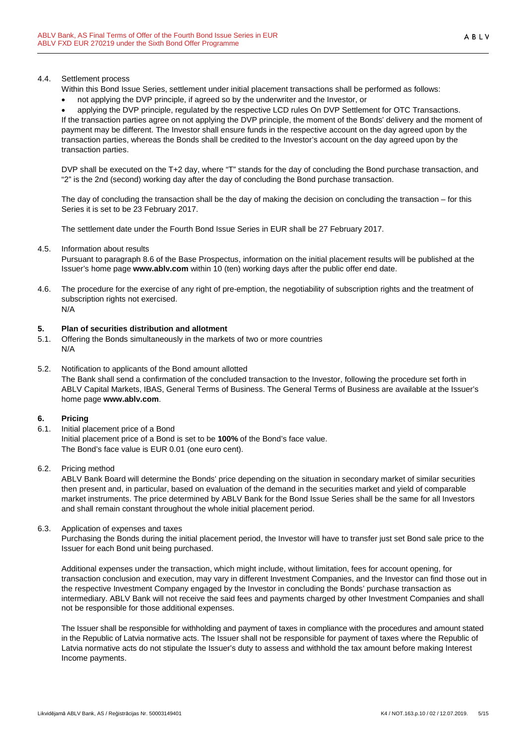#### 4.4. Settlement process

- Within this Bond Issue Series, settlement under initial placement transactions shall be performed as follows:
- not applying the DVP principle, if agreed so by the underwriter and the Investor, or

• applying the DVP principle, regulated by the respective LCD rules On DVP Settlement for OTC Transactions. If the transaction parties agree on not applying the DVP principle, the moment of the Bonds' delivery and the moment of payment may be different. The Investor shall ensure funds in the respective account on the day agreed upon by the transaction parties, whereas the Bonds shall be credited to the Investor's account on the day agreed upon by the transaction parties.

DVP shall be executed on the T+2 day, where "T" stands for the day of concluding the Bond purchase transaction, and "2" is the 2nd (second) working day after the day of concluding the Bond purchase transaction.

The day of concluding the transaction shall be the day of making the decision on concluding the transaction – for this Series it is set to be 23 February 2017.

The settlement date under the Fourth Bond Issue Series in EUR shall be 27 February 2017.

4.5. Information about results

Pursuant to paragraph 8.6 of the Base Prospectus, information on the initial placement results will be published at the Issuer's home page **www.ablv.com** within 10 (ten) working days after the public offer end date.

4.6. The procedure for the exercise of any right of pre-emption, the negotiability of subscription rights and the treatment of subscription rights not exercised. N/A

#### **5. Plan of securities distribution and allotment**

- 5.1. Offering the Bonds simultaneously in the markets of two or more countries N/A
- 5.2. Notification to applicants of the Bond amount allotted The Bank shall send a confirmation of the concluded transaction to the Investor, following the procedure set forth in ABLV Capital Markets, IBAS, General Terms of Business. The General Terms of Business are available at the Issuer's home page **www.ablv.com**.

## **6. Pricing**

6.1. Initial placement price of a Bond Initial placement price of a Bond is set to be **100%** of the Bond's face value. The Bond's face value is EUR 0.01 (one euro cent).

#### 6.2. Pricing method

ABLV Bank Board will determine the Bonds' price depending on the situation in secondary market of similar securities then present and, in particular, based on evaluation of the demand in the securities market and yield of comparable market instruments. The price determined by ABLV Bank for the Bond Issue Series shall be the same for all Investors and shall remain constant throughout the whole initial placement period.

6.3. Application of expenses and taxes

Purchasing the Bonds during the initial placement period, the Investor will have to transfer just set Bond sale price to the Issuer for each Bond unit being purchased.

Additional expenses under the transaction, which might include, without limitation, fees for account opening, for transaction conclusion and execution, may vary in different Investment Companies, and the Investor can find those out in the respective Investment Company engaged by the Investor in concluding the Bonds' purchase transaction as intermediary. ABLV Bank will not receive the said fees and payments charged by other Investment Companies and shall not be responsible for those additional expenses.

The Issuer shall be responsible for withholding and payment of taxes in compliance with the procedures and amount stated in the Republic of Latvia normative acts. The Issuer shall not be responsible for payment of taxes where the Republic of Latvia normative acts do not stipulate the Issuer's duty to assess and withhold the tax amount before making Interest Income payments.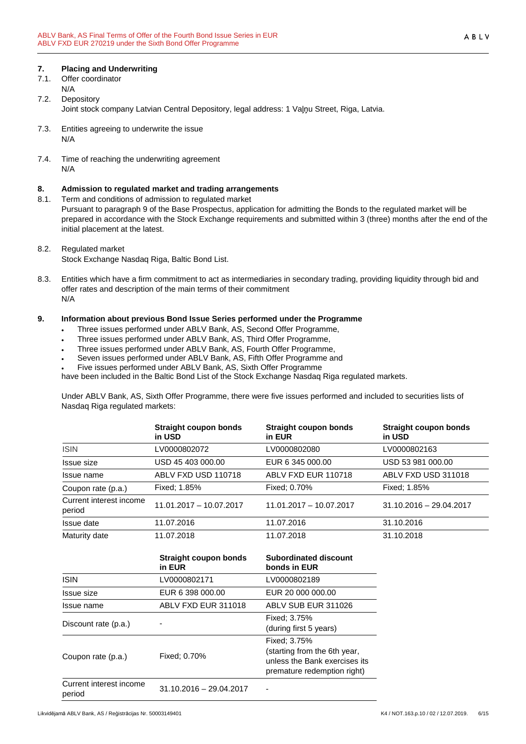## **7. Placing and Underwriting**

- 7.1. Offer coordinator N/A
- 7.2. Depository Joint stock company Latvian Central Depository, legal address: 1 Vaļņu Street, Riga, Latvia.
- 7.3. Entities agreeing to underwrite the issue N/A
- 7.4. Time of reaching the underwriting agreement N/A

## **8. Admission to regulated market and trading arrangements**

8.1. Term and conditions of admission to regulated market

Pursuant to paragraph 9 of the Base Prospectus, application for admitting the Bonds to the regulated market will be prepared in accordance with the Stock Exchange requirements and submitted within 3 (three) months after the end of the initial placement at the latest.

## 8.2. Regulated market

- Stock Exchange Nasdaq Riga, Baltic Bond List.
- 8.3. Entities which have a firm commitment to act as intermediaries in secondary trading, providing liquidity through bid and offer rates and description of the main terms of their commitment N/A

## **9. Information about previous Bond Issue Series performed under the Programme**

- Three issues performed under ABLV Bank, AS, Second Offer Programme,
- Three issues performed under ABLV Bank, AS, Third Offer Programme,
- Three issues performed under ABLV Bank, AS, Fourth Offer Programme,
- Seven issues performed under ABLV Bank, AS, Fifth Offer Programme and
- Five issues performed under ABLV Bank, AS, Sixth Offer Programme

have been included in the Baltic Bond List of the Stock Exchange Nasdaq Riga regulated markets.

Under ABLV Bank, AS, Sixth Offer Programme, there were five issues performed and included to securities lists of Nasdaq Riga regulated markets:

|                                   | Straight coupon bonds<br>in USD | Straight coupon bonds<br>in EUR | Straight coupon bonds<br>in USD |
|-----------------------------------|---------------------------------|---------------------------------|---------------------------------|
| <b>ISIN</b>                       | LV0000802072                    | LV0000802080                    | LV0000802163                    |
| Issue size                        | USD 45 403 000.00               | EUR 6 345 000.00                | USD 53 981 000.00               |
| Issue name                        | ABLV FXD USD 110718             | ABLV FXD EUR 110718             | ABLV FXD USD 311018             |
| Coupon rate (p.a.)                | Fixed: 1.85%                    | Fixed: 0.70%                    | Fixed: 1.85%                    |
| Current interest income<br>period | 11.01.2017 - 10.07.2017         | $11.01.2017 - 10.07.2017$       | $31.10.2016 - 29.04.2017$       |
| Issue date                        | 11.07.2016                      | 11.07.2016                      | 31.10.2016                      |
| Maturity date                     | 11.07.2018                      | 11.07.2018                      | 31.10.2018                      |

|                                   | <b>Straight coupon bonds</b><br>in EUR | <b>Subordinated discount</b><br>bonds in EUR                                                                 |
|-----------------------------------|----------------------------------------|--------------------------------------------------------------------------------------------------------------|
| <b>ISIN</b>                       | LV0000802171                           | LV0000802189                                                                                                 |
| <b>Issue size</b>                 | EUR 6 398 000.00                       | EUR 20 000 000.00                                                                                            |
| Issue name                        | ABLV FXD EUR 311018                    | ABLV SUB EUR 311026                                                                                          |
| Discount rate (p.a.)              |                                        | Fixed: 3.75%<br>(during first 5 years)                                                                       |
| Coupon rate (p.a.)                | Fixed: 0.70%                           | Fixed: 3.75%<br>(starting from the 6th year,<br>unless the Bank exercises its<br>premature redemption right) |
| Current interest income<br>period | $31.10.2016 - 29.04.2017$              |                                                                                                              |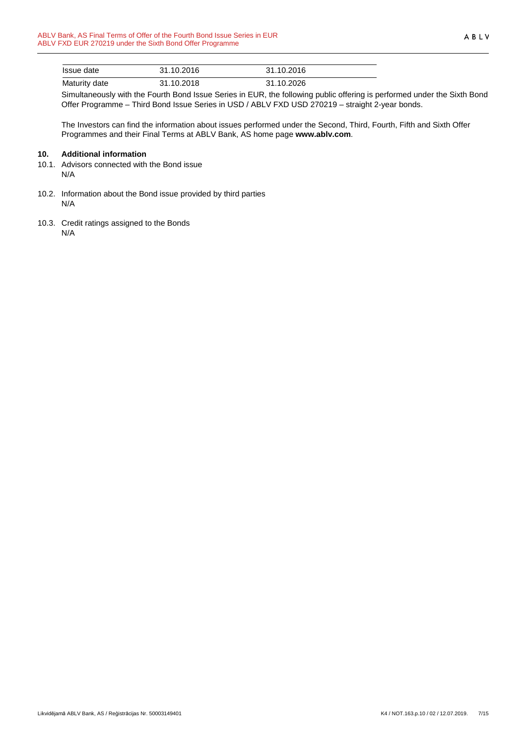| Issue date    | 31.10.2016 | 31.10.2016 |  |
|---------------|------------|------------|--|
| Maturity date | 31.10.2018 | 31.10.2026 |  |

Simultaneously with the Fourth Bond Issue Series in EUR, the following public offering is performed under the Sixth Bond Offer Programme – Third Bond Issue Series in USD / ABLV FXD USD 270219 – straight 2-year bonds.

The Investors can find the information about issues performed under the Second, Third, Fourth, Fifth and Sixth Offer Programmes and their Final Terms at ABLV Bank, AS home page **www.ablv.com**.

### **10. Additional information**

- 10.1. Advisors connected with the Bond issue N/A
- 10.2. Information about the Bond issue provided by third parties N/A
- 10.3. Credit ratings assigned to the Bonds N/A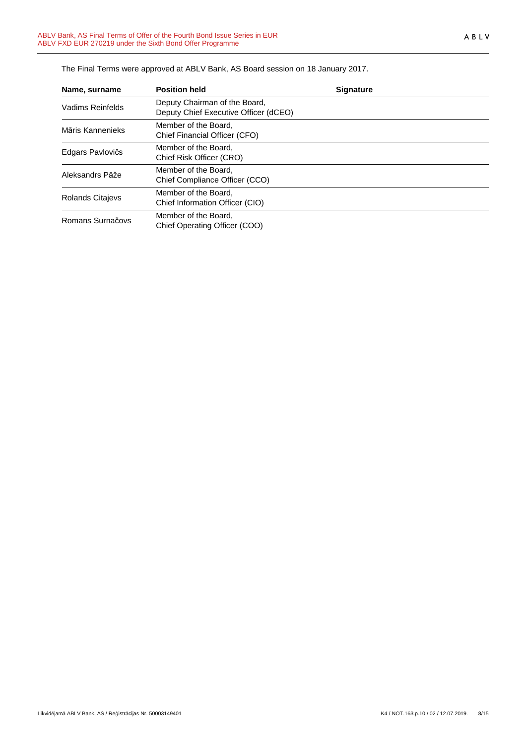| Name, surname           | <b>Position held</b>                                                   | <b>Signature</b> |
|-------------------------|------------------------------------------------------------------------|------------------|
| Vadims Reinfelds        | Deputy Chairman of the Board,<br>Deputy Chief Executive Officer (dCEO) |                  |
| Māris Kannenieks        | Member of the Board.<br>Chief Financial Officer (CFO)                  |                  |
| Edgars Pavlovičs        | Member of the Board.<br>Chief Risk Officer (CRO)                       |                  |
| Aleksandrs Pāže         | Member of the Board.<br>Chief Compliance Officer (CCO)                 |                  |
| <b>Rolands Citajevs</b> | Member of the Board.<br>Chief Information Officer (CIO)                |                  |
| Romans Surnačovs        | Member of the Board,<br>Chief Operating Officer (COO)                  |                  |

The Final Terms were approved at ABLV Bank, AS Board session on 18 January 2017.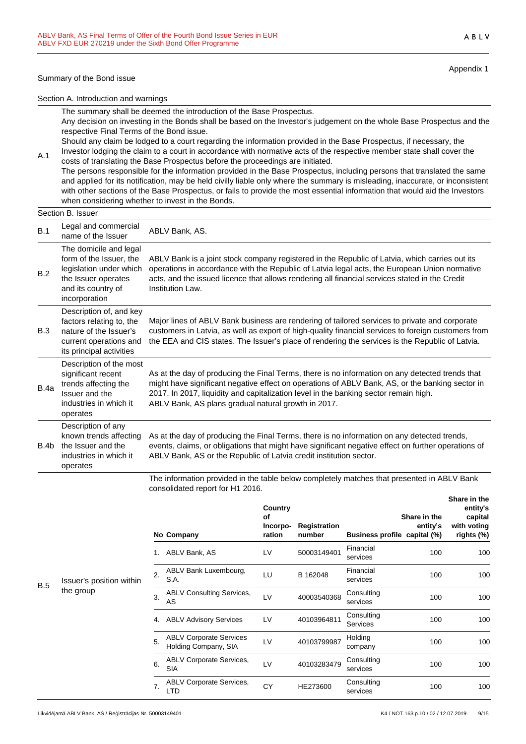#### Summary of the Bond issue

A.1

Appendix 1

Section A. Introduction and warnings

The summary shall be deemed the introduction of the Base Prospectus. Any decision on investing in the Bonds shall be based on the Investor's judgement on the whole Base Prospectus and the respective Final Terms of the Bond issue.

Should any claim be lodged to a court regarding the information provided in the Base Prospectus, if necessary, the Investor lodging the claim to a court in accordance with normative acts of the respective member state shall cover the costs of translating the Base Prospectus before the proceedings are initiated.

The persons responsible for the information provided in the Base Prospectus, including persons that translated the same and applied for its notification, may be held civilly liable only where the summary is misleading, inaccurate, or inconsistent with other sections of the Base Prospectus, or fails to provide the most essential information that would aid the Investors when considering whether to invest in the Bonds.

|      | Section B. Issuer                                                                                                                          |                                                                                                                                                                                                                                                                                                                                                   |
|------|--------------------------------------------------------------------------------------------------------------------------------------------|---------------------------------------------------------------------------------------------------------------------------------------------------------------------------------------------------------------------------------------------------------------------------------------------------------------------------------------------------|
| B.1  | Legal and commercial<br>name of the Issuer                                                                                                 | ABLV Bank, AS.                                                                                                                                                                                                                                                                                                                                    |
| B.2  | The domicile and legal<br>form of the Issuer, the<br>legislation under which<br>the Issuer operates<br>and its country of<br>incorporation | ABLV Bank is a joint stock company registered in the Republic of Latvia, which carries out its<br>operations in accordance with the Republic of Latvia legal acts, the European Union normative<br>acts, and the issued licence that allows rendering all financial services stated in the Credit<br>Institution Law.                             |
| B.3  | Description of, and key<br>factors relating to, the<br>nature of the Issuer's<br>current operations and<br>its principal activities        | Major lines of ABLV Bank business are rendering of tailored services to private and corporate<br>customers in Latvia, as well as export of high-quality financial services to foreign customers from<br>the EEA and CIS states. The Issuer's place of rendering the services is the Republic of Latvia.                                           |
| B.4a | Description of the most<br>significant recent<br>trends affecting the<br>Issuer and the<br>industries in which it<br>operates              | As at the day of producing the Final Terms, there is no information on any detected trends that<br>might have significant negative effect on operations of ABLV Bank, AS, or the banking sector in<br>2017. In 2017, liquidity and capitalization level in the banking sector remain high.<br>ABLV Bank, AS plans gradual natural growth in 2017. |
| B.4b | Description of any<br>known trends affecting<br>the Issuer and the<br>industries in which it<br>operates                                   | As at the day of producing the Final Terms, there is no information on any detected trends,<br>events, claims, or obligations that might have significant negative effect on further operations of<br>ABLV Bank, AS or the Republic of Latvia credit institution sector.                                                                          |

The information provided in the table below completely matches that presented in ABLV Bank consolidated report for H1 2016. **Share in the**

|            |                          |    | No Company                                             | Country<br>of<br>Incorpo-<br>ration | Registration<br>number | <b>Business profile</b> | Share in the<br>entity's<br>capital (%) | entity's<br>capital<br>with voting<br>rights (%) |
|------------|--------------------------|----|--------------------------------------------------------|-------------------------------------|------------------------|-------------------------|-----------------------------------------|--------------------------------------------------|
|            |                          | 1. | ABLV Bank, AS                                          | LV                                  | 50003149401            | Financial<br>services   | 100                                     | 100                                              |
| <b>B.5</b> | Issuer's position within | 2. | ABLV Bank Luxembourg,<br>S.A.                          | LU                                  | B 162048               | Financial<br>services   | 100                                     | 100                                              |
|            | the group                | 3. | <b>ABLV Consulting Services,</b><br>AS                 | LV                                  | 40003540368            | Consulting<br>services  | 100                                     | 100                                              |
|            |                          | 4. | <b>ABLV Advisory Services</b>                          | LV                                  | 40103964811            | Consulting<br>Services  | 100                                     | 100                                              |
|            |                          | 5. | <b>ABLV Corporate Services</b><br>Holding Company, SIA | LV                                  | 40103799987            | Holding<br>company      | 100                                     | 100                                              |
|            |                          | 6. | <b>ABLV Corporate Services,</b><br><b>SIA</b>          | LV                                  | 40103283479            | Consulting<br>services  | 100                                     | 100                                              |
|            |                          | 7. | <b>ABLV Corporate Services,</b><br><b>LTD</b>          | CY                                  | HE273600               | Consulting<br>services  | 100                                     | 100                                              |
|            |                          |    |                                                        |                                     |                        |                         |                                         |                                                  |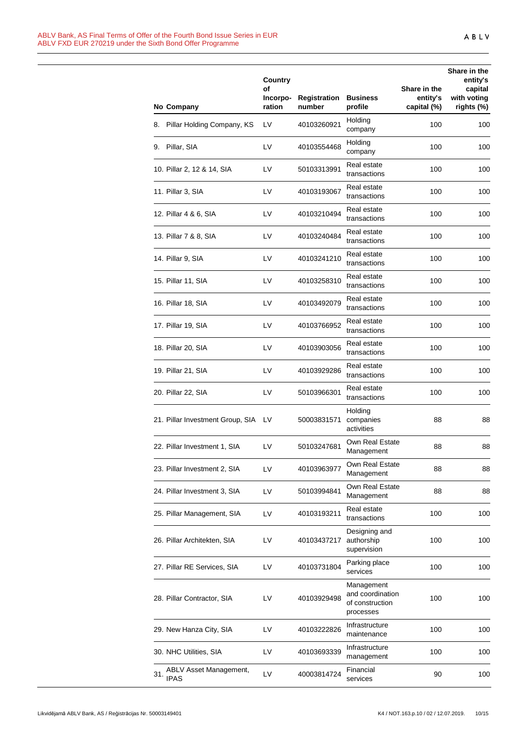| No Company                                   | Country<br>οf<br>Incorpo-<br>ration | Registration<br>number | <b>Business</b><br>profile                                     | Share in the<br>entity's<br>capital (%) | Share in the<br>entity's<br>capital<br>with voting<br>rights (%) |
|----------------------------------------------|-------------------------------------|------------------------|----------------------------------------------------------------|-----------------------------------------|------------------------------------------------------------------|
| 8. Pillar Holding Company, KS                | LV                                  | 40103260921            | Holding<br>company                                             | 100                                     | 100                                                              |
| 9. Pillar, SIA                               | LV                                  | 40103554468            | Holding<br>company                                             | 100                                     | 100                                                              |
| 10. Pillar 2, 12 & 14, SIA                   | LV                                  | 50103313991            | Real estate<br>transactions                                    | 100                                     | 100                                                              |
| 11. Pillar 3, SIA                            | LV                                  | 40103193067            | Real estate<br>transactions                                    | 100                                     | 100                                                              |
| 12. Pillar 4 & 6, SIA                        | LV                                  | 40103210494            | Real estate<br>transactions                                    | 100                                     | 100                                                              |
| 13. Pillar 7 & 8, SIA                        | LV                                  | 40103240484            | Real estate<br>transactions                                    | 100                                     | 100                                                              |
| 14. Pillar 9, SIA                            | LV                                  | 40103241210            | Real estate<br>transactions                                    | 100                                     | 100                                                              |
| 15. Pillar 11, SIA                           | LV                                  | 40103258310            | Real estate<br>transactions                                    | 100                                     | 100                                                              |
| 16. Pillar 18, SIA                           | LV                                  | 40103492079            | Real estate<br>transactions                                    | 100                                     | 100                                                              |
| 17. Pillar 19, SIA                           | LV                                  | 40103766952            | Real estate<br>transactions                                    | 100                                     | 100                                                              |
| 18. Pillar 20, SIA                           | LV                                  | 40103903056            | Real estate<br>transactions                                    | 100                                     | 100                                                              |
| 19. Pillar 21, SIA                           | LV                                  | 40103929286            | Real estate<br>transactions                                    | 100                                     | 100                                                              |
| 20. Pillar 22, SIA                           | LV                                  | 50103966301            | Real estate<br>transactions                                    | 100                                     | 100                                                              |
| 21. Pillar Investment Group, SIA             | LV.                                 | 50003831571            | Holding<br>companies<br>activities                             | 88                                      | 88                                                               |
| 22. Pillar Investment 1, SIA                 | LV                                  | 50103247681            | Own Real Estate<br>Management                                  | 88                                      | 88                                                               |
| 23. Pillar Investment 2, SIA                 | LV                                  | 40103963977            | Own Real Estate<br>Management                                  | 88                                      | 88                                                               |
| 24. Pillar Investment 3, SIA                 | LV                                  | 50103994841            | Own Real Estate<br>Management                                  | 88                                      | 88                                                               |
| 25. Pillar Management, SIA                   | LV                                  | 40103193211            | Real estate<br>transactions                                    | 100                                     | 100                                                              |
| 26. Pillar Architekten, SIA                  | LV                                  | 40103437217            | Designing and<br>authorship<br>supervision                     | 100                                     | 100                                                              |
| 27. Pillar RE Services, SIA                  | LV                                  | 40103731804            | Parking place<br>services                                      | 100                                     | 100                                                              |
| 28. Pillar Contractor, SIA                   | LV                                  | 40103929498            | Management<br>and coordination<br>of construction<br>processes | 100                                     | 100                                                              |
| 29. New Hanza City, SIA                      | LV                                  | 40103222826            | Infrastructure<br>maintenance                                  | 100                                     | 100                                                              |
| 30. NHC Utilities, SIA                       | LV                                  | 40103693339            | Infrastructure<br>management                                   | 100                                     | 100                                                              |
| ABLV Asset Management,<br>31.<br><b>IPAS</b> | LV                                  | 40003814724            | Financial<br>services                                          | 90                                      | 100                                                              |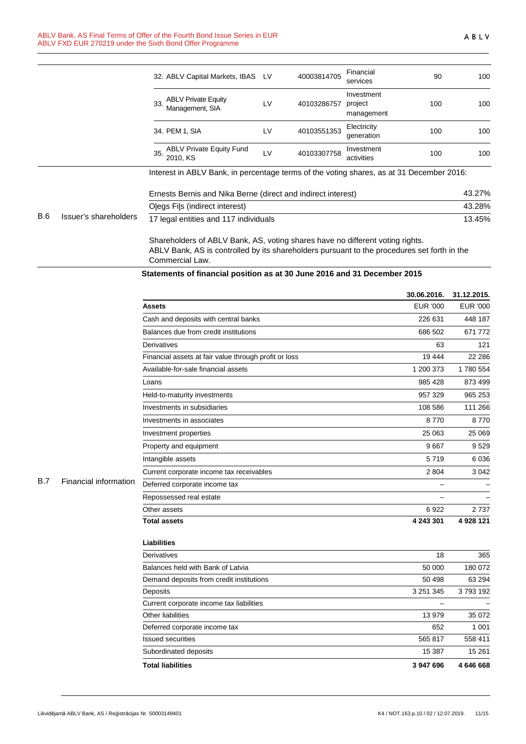|            |                       |                                                                                          |    |             | <b>SEIVICES</b>                     |        |        |
|------------|-----------------------|------------------------------------------------------------------------------------------|----|-------------|-------------------------------------|--------|--------|
|            |                       | <b>ABLV Private Equity</b><br>33.<br>Management, SIA                                     | LV | 40103286757 | Investment<br>project<br>management | 100    | 100    |
|            |                       | 34. PEM 1, SIA                                                                           | LV | 40103551353 | Electricity<br>generation           | 100    | 100    |
|            |                       | <b>ABLV Private Equity Fund</b><br>35.<br>2010. KS                                       | LV | 40103307758 | Investment<br>activities            | 100    | 100    |
|            |                       | Interest in ABLV Bank, in percentage terms of the voting shares, as at 31 December 2016: |    |             |                                     |        |        |
|            |                       | Ernests Bernis and Nika Berne (direct and indirect interest)                             |    |             |                                     |        | 43.27% |
|            | Issuer's shareholders | Olegs Fils (indirect interest)                                                           |    |             | 43.28%                              |        |        |
| <b>B.6</b> |                       | 17 legal entities and 117 individuals                                                    |    |             |                                     | 13.45% |        |
|            |                       | Shareholders of ABLV Bank, AS, voting shares have no different voting rights.            |    |             |                                     |        |        |

ABLV Bank, AS is controlled by its shareholders pursuant to the procedures set forth in the Commercial Law.

**Statements of financial position as at 30 June 2016 and 31 December 2015**

|                       | <b>Assets</b><br>Cash and deposits with central banks<br>Balances due from credit institutions<br>Derivatives<br>Financial assets at fair value through profit or loss<br>Available-for-sale financial assets<br>Loans<br>Held-to-maturity investments<br>Investments in subsidiaries | <b>EUR '000</b><br>226 631<br>686 502<br>63<br>19 4 44<br>1 200 373<br>985 428<br>957 329 | <b>EUR '000</b><br>448 187<br>671 772<br>965 253 |
|-----------------------|---------------------------------------------------------------------------------------------------------------------------------------------------------------------------------------------------------------------------------------------------------------------------------------|-------------------------------------------------------------------------------------------|--------------------------------------------------|
|                       |                                                                                                                                                                                                                                                                                       |                                                                                           |                                                  |
|                       |                                                                                                                                                                                                                                                                                       |                                                                                           |                                                  |
|                       |                                                                                                                                                                                                                                                                                       |                                                                                           | 121<br>22 28 6<br>1780 554<br>873 499            |
|                       |                                                                                                                                                                                                                                                                                       |                                                                                           |                                                  |
|                       |                                                                                                                                                                                                                                                                                       |                                                                                           |                                                  |
|                       |                                                                                                                                                                                                                                                                                       |                                                                                           |                                                  |
|                       |                                                                                                                                                                                                                                                                                       |                                                                                           |                                                  |
|                       |                                                                                                                                                                                                                                                                                       |                                                                                           |                                                  |
|                       |                                                                                                                                                                                                                                                                                       | 108 586                                                                                   | 111 266                                          |
|                       | Investments in associates                                                                                                                                                                                                                                                             | 8770                                                                                      | 8770                                             |
|                       | Investment properties                                                                                                                                                                                                                                                                 | 25 063                                                                                    | 25 069                                           |
|                       | Property and equipment                                                                                                                                                                                                                                                                | 9667                                                                                      | 9529                                             |
|                       | Intangible assets                                                                                                                                                                                                                                                                     | 5719                                                                                      | 6 0 3 6                                          |
|                       | Current corporate income tax receivables                                                                                                                                                                                                                                              | 2804                                                                                      | 3 0 4 2                                          |
| Financial information | Deferred corporate income tax                                                                                                                                                                                                                                                         |                                                                                           |                                                  |
|                       | Repossessed real estate                                                                                                                                                                                                                                                               |                                                                                           |                                                  |
|                       | Other assets                                                                                                                                                                                                                                                                          | 6922                                                                                      | 2737                                             |
|                       | <b>Total assets</b>                                                                                                                                                                                                                                                                   | 4 243 301                                                                                 | 4 928 121                                        |
|                       | <b>Liabilities</b>                                                                                                                                                                                                                                                                    |                                                                                           |                                                  |
|                       | Derivatives                                                                                                                                                                                                                                                                           | 18                                                                                        | 365                                              |
|                       | Balances held with Bank of Latvia                                                                                                                                                                                                                                                     | 50 000                                                                                    | 180 072                                          |
|                       | Demand deposits from credit institutions                                                                                                                                                                                                                                              | 50 498                                                                                    | 63 294                                           |
|                       | Deposits                                                                                                                                                                                                                                                                              | 3 2 5 1 3 4 5                                                                             | 3793192                                          |
|                       | Current corporate income tax liabilities                                                                                                                                                                                                                                              |                                                                                           |                                                  |
|                       | <b>Other liabilities</b>                                                                                                                                                                                                                                                              | 13 979                                                                                    | 35 072                                           |
|                       | Deferred corporate income tax                                                                                                                                                                                                                                                         | 652                                                                                       | 1 0 0 1                                          |
|                       | <b>Issued securities</b>                                                                                                                                                                                                                                                              |                                                                                           | 558 411                                          |
|                       | Subordinated deposits                                                                                                                                                                                                                                                                 | 15 387                                                                                    | 15 261                                           |
|                       | <b>Total liabilities</b>                                                                                                                                                                                                                                                              | 3 947 696                                                                                 | 4 646 668                                        |
|                       |                                                                                                                                                                                                                                                                                       |                                                                                           | 565 817                                          |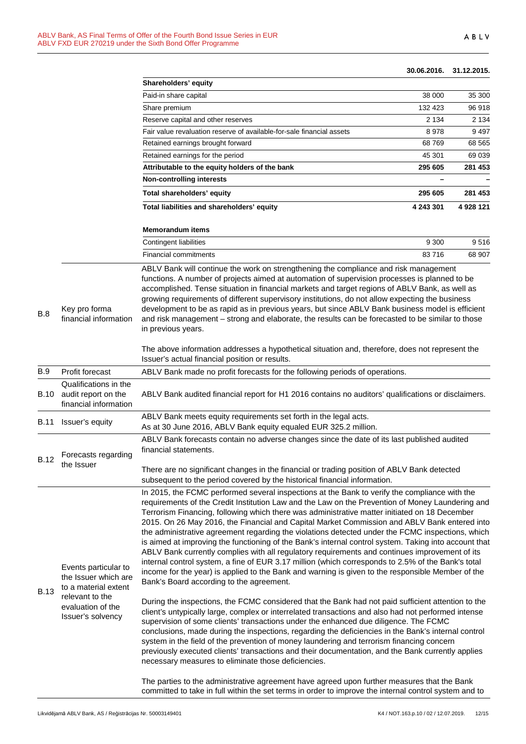#### **30.06.2016. 31.12.2015.**

|             |                                                                                                                                   | Shareholders' equity                                                                                                                                                                                                                                                                                                                                                                                                                                                                                                                                                                                                                                                                                                                                                                                                                                                                                                                                                                                                                                                           |           |           |
|-------------|-----------------------------------------------------------------------------------------------------------------------------------|--------------------------------------------------------------------------------------------------------------------------------------------------------------------------------------------------------------------------------------------------------------------------------------------------------------------------------------------------------------------------------------------------------------------------------------------------------------------------------------------------------------------------------------------------------------------------------------------------------------------------------------------------------------------------------------------------------------------------------------------------------------------------------------------------------------------------------------------------------------------------------------------------------------------------------------------------------------------------------------------------------------------------------------------------------------------------------|-----------|-----------|
|             |                                                                                                                                   | Paid-in share capital                                                                                                                                                                                                                                                                                                                                                                                                                                                                                                                                                                                                                                                                                                                                                                                                                                                                                                                                                                                                                                                          | 38 000    | 35 300    |
|             |                                                                                                                                   | Share premium                                                                                                                                                                                                                                                                                                                                                                                                                                                                                                                                                                                                                                                                                                                                                                                                                                                                                                                                                                                                                                                                  | 132 423   | 96 918    |
|             |                                                                                                                                   | Reserve capital and other reserves                                                                                                                                                                                                                                                                                                                                                                                                                                                                                                                                                                                                                                                                                                                                                                                                                                                                                                                                                                                                                                             | 2 1 3 4   | 2 1 3 4   |
|             |                                                                                                                                   | Fair value revaluation reserve of available-for-sale financial assets                                                                                                                                                                                                                                                                                                                                                                                                                                                                                                                                                                                                                                                                                                                                                                                                                                                                                                                                                                                                          | 8978      | 9497      |
|             |                                                                                                                                   | Retained earnings brought forward                                                                                                                                                                                                                                                                                                                                                                                                                                                                                                                                                                                                                                                                                                                                                                                                                                                                                                                                                                                                                                              | 68769     | 68 5 65   |
|             |                                                                                                                                   | Retained earnings for the period                                                                                                                                                                                                                                                                                                                                                                                                                                                                                                                                                                                                                                                                                                                                                                                                                                                                                                                                                                                                                                               | 45 301    | 69 039    |
|             |                                                                                                                                   | Attributable to the equity holders of the bank                                                                                                                                                                                                                                                                                                                                                                                                                                                                                                                                                                                                                                                                                                                                                                                                                                                                                                                                                                                                                                 | 295 605   | 281 453   |
|             |                                                                                                                                   | <b>Non-controlling interests</b>                                                                                                                                                                                                                                                                                                                                                                                                                                                                                                                                                                                                                                                                                                                                                                                                                                                                                                                                                                                                                                               |           |           |
|             |                                                                                                                                   | Total shareholders' equity                                                                                                                                                                                                                                                                                                                                                                                                                                                                                                                                                                                                                                                                                                                                                                                                                                                                                                                                                                                                                                                     | 295 605   | 281 453   |
|             |                                                                                                                                   | Total liabilities and shareholders' equity                                                                                                                                                                                                                                                                                                                                                                                                                                                                                                                                                                                                                                                                                                                                                                                                                                                                                                                                                                                                                                     | 4 243 301 | 4 928 121 |
|             |                                                                                                                                   | <b>Memorandum items</b>                                                                                                                                                                                                                                                                                                                                                                                                                                                                                                                                                                                                                                                                                                                                                                                                                                                                                                                                                                                                                                                        |           |           |
|             |                                                                                                                                   | Contingent liabilities                                                                                                                                                                                                                                                                                                                                                                                                                                                                                                                                                                                                                                                                                                                                                                                                                                                                                                                                                                                                                                                         | 9 3 0 0   | 9516      |
|             |                                                                                                                                   | <b>Financial commitments</b>                                                                                                                                                                                                                                                                                                                                                                                                                                                                                                                                                                                                                                                                                                                                                                                                                                                                                                                                                                                                                                                   | 83716     | 68 907    |
| B.8         | Key pro forma<br>financial information                                                                                            | functions. A number of projects aimed at automation of supervision processes is planned to be<br>accomplished. Tense situation in financial markets and target regions of ABLV Bank, as well as<br>growing requirements of different supervisory institutions, do not allow expecting the business<br>development to be as rapid as in previous years, but since ABLV Bank business model is efficient<br>and risk management - strong and elaborate, the results can be forecasted to be similar to those<br>in previous years.                                                                                                                                                                                                                                                                                                                                                                                                                                                                                                                                               |           |           |
|             |                                                                                                                                   | The above information addresses a hypothetical situation and, therefore, does not represent the<br>Issuer's actual financial position or results.                                                                                                                                                                                                                                                                                                                                                                                                                                                                                                                                                                                                                                                                                                                                                                                                                                                                                                                              |           |           |
| <b>B.9</b>  | Profit forecast                                                                                                                   | ABLV Bank made no profit forecasts for the following periods of operations.                                                                                                                                                                                                                                                                                                                                                                                                                                                                                                                                                                                                                                                                                                                                                                                                                                                                                                                                                                                                    |           |           |
| B.10        | Qualifications in the<br>audit report on the<br>financial information                                                             | ABLV Bank audited financial report for H1 2016 contains no auditors' qualifications or disclaimers.                                                                                                                                                                                                                                                                                                                                                                                                                                                                                                                                                                                                                                                                                                                                                                                                                                                                                                                                                                            |           |           |
| B.11        | Issuer's equity                                                                                                                   | ABLV Bank meets equity requirements set forth in the legal acts.<br>As at 30 June 2016, ABLV Bank equity equaled EUR 325.2 million.                                                                                                                                                                                                                                                                                                                                                                                                                                                                                                                                                                                                                                                                                                                                                                                                                                                                                                                                            |           |           |
| <b>B.12</b> | Forecasts regarding<br>the Issuer                                                                                                 | ABLV Bank forecasts contain no adverse changes since the date of its last published audited<br>financial statements.                                                                                                                                                                                                                                                                                                                                                                                                                                                                                                                                                                                                                                                                                                                                                                                                                                                                                                                                                           |           |           |
|             |                                                                                                                                   | There are no significant changes in the financial or trading position of ABLV Bank detected<br>subsequent to the period covered by the historical financial information.                                                                                                                                                                                                                                                                                                                                                                                                                                                                                                                                                                                                                                                                                                                                                                                                                                                                                                       |           |           |
| <b>B.13</b> | Events particular to<br>the Issuer which are<br>to a material extent<br>relevant to the<br>evaluation of the<br>Issuer's solvency | In 2015, the FCMC performed several inspections at the Bank to verify the compliance with the<br>requirements of the Credit Institution Law and the Law on the Prevention of Money Laundering and<br>Terrorism Financing, following which there was administrative matter initiated on 18 December<br>2015. On 26 May 2016, the Financial and Capital Market Commission and ABLV Bank entered into<br>the administrative agreement regarding the violations detected under the FCMC inspections, which<br>is aimed at improving the functioning of the Bank's internal control system. Taking into account that<br>ABLV Bank currently complies with all regulatory requirements and continues improvement of its<br>internal control system, a fine of EUR 3.17 million (which corresponds to 2.5% of the Bank's total<br>income for the year) is applied to the Bank and warning is given to the responsible Member of the<br>Bank's Board according to the agreement.<br>During the inspections, the FCMC considered that the Bank had not paid sufficient attention to the |           |           |
|             |                                                                                                                                   | client's untypically large, complex or interrelated transactions and also had not performed intense<br>supervision of some clients' transactions under the enhanced due diligence. The FCMC<br>conclusions, made during the inspections, regarding the deficiencies in the Bank's internal control<br>system in the field of the prevention of money laundering and terrorism financing concern<br>previously executed clients' transactions and their documentation, and the Bank currently applies<br>necessary measures to eliminate those deficiencies.                                                                                                                                                                                                                                                                                                                                                                                                                                                                                                                    |           |           |
|             |                                                                                                                                   | The parties to the administrative agreement have agreed upon further measures that the Bank<br>committed to take in full within the set terms in order to improve the internal control system and to                                                                                                                                                                                                                                                                                                                                                                                                                                                                                                                                                                                                                                                                                                                                                                                                                                                                           |           |           |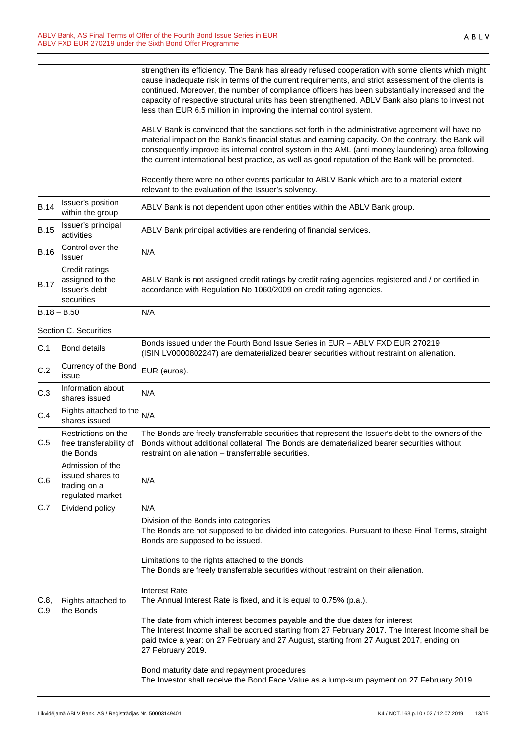strengthen its efficiency. The Bank has already refused cooperation with some clients which might cause inadequate risk in terms of the current requirements, and strict assessment of the clients is continued. Moreover, the number of compliance officers has been substantially increased and the capacity of respective structural units has been strengthened. ABLV Bank also plans to invest not less than EUR 6.5 million in improving the internal control system.

ABLV Bank is convinced that the sanctions set forth in the administrative agreement will have no material impact on the Bank's financial status and earning capacity. On the contrary, the Bank will consequently improve its internal control system in the AML (anti money laundering) area following the current international best practice, as well as good reputation of the Bank will be promoted.

Recently there were no other events particular to ABLV Bank which are to a material extent relevant to the evaluation of the Issuer's solvency.

| <b>B.14</b>   | Issuer's position<br>within the group                                    | ABLV Bank is not dependent upon other entities within the ABLV Bank group.                                                                                                                                                                                                                        |  |
|---------------|--------------------------------------------------------------------------|---------------------------------------------------------------------------------------------------------------------------------------------------------------------------------------------------------------------------------------------------------------------------------------------------|--|
| <b>B.15</b>   | Issuer's principal<br>activities                                         | ABLV Bank principal activities are rendering of financial services.                                                                                                                                                                                                                               |  |
| <b>B.16</b>   | Control over the<br>Issuer                                               | N/A                                                                                                                                                                                                                                                                                               |  |
| <b>B.17</b>   | Credit ratings<br>assigned to the<br>Issuer's debt<br>securities         | ABLV Bank is not assigned credit ratings by credit rating agencies registered and / or certified in<br>accordance with Regulation No 1060/2009 on credit rating agencies.                                                                                                                         |  |
| $B.18 - B.50$ |                                                                          | N/A                                                                                                                                                                                                                                                                                               |  |
|               | Section C. Securities                                                    |                                                                                                                                                                                                                                                                                                   |  |
| C.1           | <b>Bond details</b>                                                      | Bonds issued under the Fourth Bond Issue Series in EUR - ABLV FXD EUR 270219<br>(ISIN LV0000802247) are dematerialized bearer securities without restraint on alienation.                                                                                                                         |  |
| C.2           | Currency of the Bond<br>issue                                            | EUR (euros).                                                                                                                                                                                                                                                                                      |  |
| C.3           | Information about<br>shares issued                                       | N/A                                                                                                                                                                                                                                                                                               |  |
| C.4           | Rights attached to the<br>shares issued                                  | N/A                                                                                                                                                                                                                                                                                               |  |
| C.5           | Restrictions on the<br>free transferability of<br>the Bonds              | The Bonds are freely transferrable securities that represent the Issuer's debt to the owners of the<br>Bonds without additional collateral. The Bonds are dematerialized bearer securities without<br>restraint on alienation - transferrable securities.                                         |  |
| C.6           | Admission of the<br>issued shares to<br>trading on a<br>regulated market | N/A                                                                                                                                                                                                                                                                                               |  |
| C.7           | Dividend policy                                                          | N/A                                                                                                                                                                                                                                                                                               |  |
| C.8,<br>C.9   | Rights attached to<br>the Bonds                                          | Division of the Bonds into categories<br>The Bonds are not supposed to be divided into categories. Pursuant to these Final Terms, straight<br>Bonds are supposed to be issued.                                                                                                                    |  |
|               |                                                                          | Limitations to the rights attached to the Bonds<br>The Bonds are freely transferrable securities without restraint on their alienation.                                                                                                                                                           |  |
|               |                                                                          | <b>Interest Rate</b><br>The Annual Interest Rate is fixed, and it is equal to 0.75% (p.a.).                                                                                                                                                                                                       |  |
|               |                                                                          | The date from which interest becomes payable and the due dates for interest<br>The Interest Income shall be accrued starting from 27 February 2017. The Interest Income shall be<br>paid twice a year: on 27 February and 27 August, starting from 27 August 2017, ending on<br>27 February 2019. |  |
|               |                                                                          | Bond maturity date and repayment procedures<br>The Investor shall receive the Bond Face Value as a lump-sum payment on 27 February 2019.                                                                                                                                                          |  |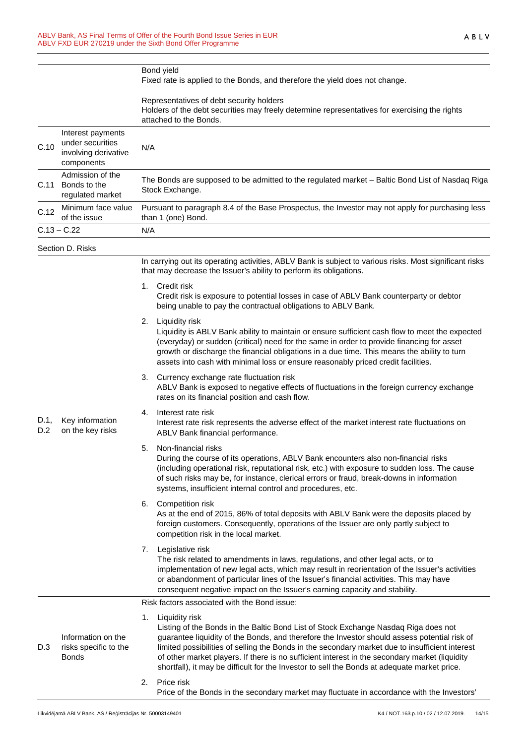|             |                                                                             | Bond yield<br>Fixed rate is applied to the Bonds, and therefore the yield does not change.                                                                                                                                                                                                                                                                                                                                                                                                                       |  |  |
|-------------|-----------------------------------------------------------------------------|------------------------------------------------------------------------------------------------------------------------------------------------------------------------------------------------------------------------------------------------------------------------------------------------------------------------------------------------------------------------------------------------------------------------------------------------------------------------------------------------------------------|--|--|
|             |                                                                             | Representatives of debt security holders<br>Holders of the debt securities may freely determine representatives for exercising the rights<br>attached to the Bonds.                                                                                                                                                                                                                                                                                                                                              |  |  |
| C.10        | Interest payments<br>under securities<br>involving derivative<br>components | N/A                                                                                                                                                                                                                                                                                                                                                                                                                                                                                                              |  |  |
| C.11        | Admission of the<br>Bonds to the<br>regulated market                        | The Bonds are supposed to be admitted to the regulated market - Baltic Bond List of Nasdaq Riga<br>Stock Exchange.                                                                                                                                                                                                                                                                                                                                                                                               |  |  |
| C.12        | Minimum face value<br>of the issue                                          | Pursuant to paragraph 8.4 of the Base Prospectus, the Investor may not apply for purchasing less<br>than 1 (one) Bond.                                                                                                                                                                                                                                                                                                                                                                                           |  |  |
|             | $C.13 - C.22$                                                               | N/A                                                                                                                                                                                                                                                                                                                                                                                                                                                                                                              |  |  |
|             | Section D. Risks                                                            |                                                                                                                                                                                                                                                                                                                                                                                                                                                                                                                  |  |  |
|             |                                                                             | In carrying out its operating activities, ABLV Bank is subject to various risks. Most significant risks<br>that may decrease the Issuer's ability to perform its obligations.                                                                                                                                                                                                                                                                                                                                    |  |  |
|             |                                                                             | Credit risk<br>1.<br>Credit risk is exposure to potential losses in case of ABLV Bank counterparty or debtor<br>being unable to pay the contractual obligations to ABLV Bank.                                                                                                                                                                                                                                                                                                                                    |  |  |
|             |                                                                             | 2.<br>Liquidity risk<br>Liquidity is ABLV Bank ability to maintain or ensure sufficient cash flow to meet the expected<br>(everyday) or sudden (critical) need for the same in order to provide financing for asset<br>growth or discharge the financial obligations in a due time. This means the ability to turn<br>assets into cash with minimal loss or ensure reasonably priced credit facilities.                                                                                                          |  |  |
|             |                                                                             | Currency exchange rate fluctuation risk<br>3.<br>ABLV Bank is exposed to negative effects of fluctuations in the foreign currency exchange<br>rates on its financial position and cash flow.                                                                                                                                                                                                                                                                                                                     |  |  |
| D.1,<br>D.2 | Key information<br>on the key risks                                         | Interest rate risk<br>4.<br>Interest rate risk represents the adverse effect of the market interest rate fluctuations on<br>ABLV Bank financial performance.                                                                                                                                                                                                                                                                                                                                                     |  |  |
|             |                                                                             | Non-financial risks<br>5.<br>During the course of its operations, ABLV Bank encounters also non-financial risks<br>(including operational risk, reputational risk, etc.) with exposure to sudden loss. The cause<br>of such risks may be, for instance, clerical errors or fraud, break-downs in information<br>systems, insufficient internal control and procedures, etc.                                                                                                                                      |  |  |
|             |                                                                             | Competition risk<br>6.<br>As at the end of 2015, 86% of total deposits with ABLV Bank were the deposits placed by<br>foreign customers. Consequently, operations of the Issuer are only partly subject to<br>competition risk in the local market.                                                                                                                                                                                                                                                               |  |  |
|             |                                                                             | Legislative risk<br>7.<br>The risk related to amendments in laws, regulations, and other legal acts, or to<br>implementation of new legal acts, which may result in reorientation of the Issuer's activities<br>or abandonment of particular lines of the Issuer's financial activities. This may have<br>consequent negative impact on the Issuer's earning capacity and stability.                                                                                                                             |  |  |
|             |                                                                             | Risk factors associated with the Bond issue:                                                                                                                                                                                                                                                                                                                                                                                                                                                                     |  |  |
| D.3         | Information on the<br>risks specific to the<br><b>Bonds</b>                 | Liquidity risk<br>1.<br>Listing of the Bonds in the Baltic Bond List of Stock Exchange Nasdaq Riga does not<br>guarantee liquidity of the Bonds, and therefore the Investor should assess potential risk of<br>limited possibilities of selling the Bonds in the secondary market due to insufficient interest<br>of other market players. If there is no sufficient interest in the secondary market (liquidity<br>shortfall), it may be difficult for the Investor to sell the Bonds at adequate market price. |  |  |
|             |                                                                             | Price risk<br>2.<br>Price of the Bonds in the secondary market may fluctuate in accordance with the Investors'                                                                                                                                                                                                                                                                                                                                                                                                   |  |  |